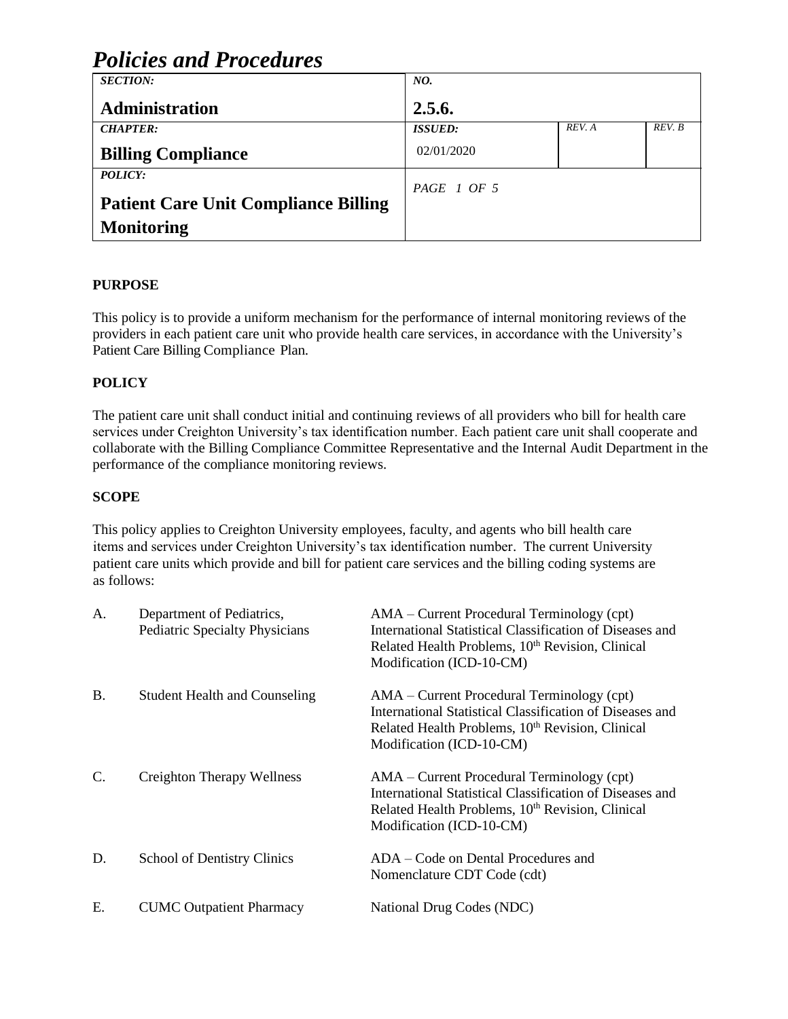| <i>Policies and Procedures</i>              |                  |        |        |  |
|---------------------------------------------|------------------|--------|--------|--|
| <b>SECTION:</b>                             | NO.              |        |        |  |
| <b>Administration</b>                       | 2.5.6.           |        |        |  |
| <b>CHAPTER:</b>                             | <b>ISSUED:</b>   | REV. A | REV. B |  |
| <b>Billing Compliance</b>                   | 02/01/2020       |        |        |  |
| POLICY:                                     | $PAGE \mid OF 5$ |        |        |  |
| <b>Patient Care Unit Compliance Billing</b> |                  |        |        |  |
| <b>Monitoring</b>                           |                  |        |        |  |

# **PURPOSE**

This policy is to provide a uniform mechanism for the performance of internal monitoring reviews of the providers in each patient care unit who provide health care services, in accordance with the University's Patient Care Billing Compliance Plan.

## **POLICY**

The patient care unit shall conduct initial and continuing reviews of all providers who bill for health care services under Creighton University's tax identification number. Each patient care unit shall cooperate and collaborate with the Billing Compliance Committee Representative and the Internal Audit Department in the performance of the compliance monitoring reviews.

### **SCOPE**

This policy applies to Creighton University employees, faculty, and agents who bill health care items and services under Creighton University's tax identification number. The current University patient care units which provide and bill for patient care services and the billing coding systems are as follows:

| А.              | Department of Pediatrics,<br><b>Pediatric Specialty Physicians</b> | $AMA$ – Current Procedural Terminology (cpt)<br>International Statistical Classification of Diseases and<br>Related Health Problems, 10 <sup>th</sup> Revision, Clinical<br>Modification (ICD-10-CM) |
|-----------------|--------------------------------------------------------------------|------------------------------------------------------------------------------------------------------------------------------------------------------------------------------------------------------|
| В.              | <b>Student Health and Counseling</b>                               | $AMA$ – Current Procedural Terminology (cpt)<br>International Statistical Classification of Diseases and<br>Related Health Problems, 10 <sup>th</sup> Revision, Clinical<br>Modification (ICD-10-CM) |
| $\mathcal{C}$ . | Creighton Therapy Wellness                                         | $AMA$ – Current Procedural Terminology (cpt)<br>International Statistical Classification of Diseases and<br>Related Health Problems, 10 <sup>th</sup> Revision, Clinical<br>Modification (ICD-10-CM) |
| D.              | <b>School of Dentistry Clinics</b>                                 | ADA – Code on Dental Procedures and<br>Nomenclature CDT Code (cdt)                                                                                                                                   |
| Е.              | <b>CUMC Outpatient Pharmacy</b>                                    | National Drug Codes (NDC)                                                                                                                                                                            |

# *Policies and Procedures*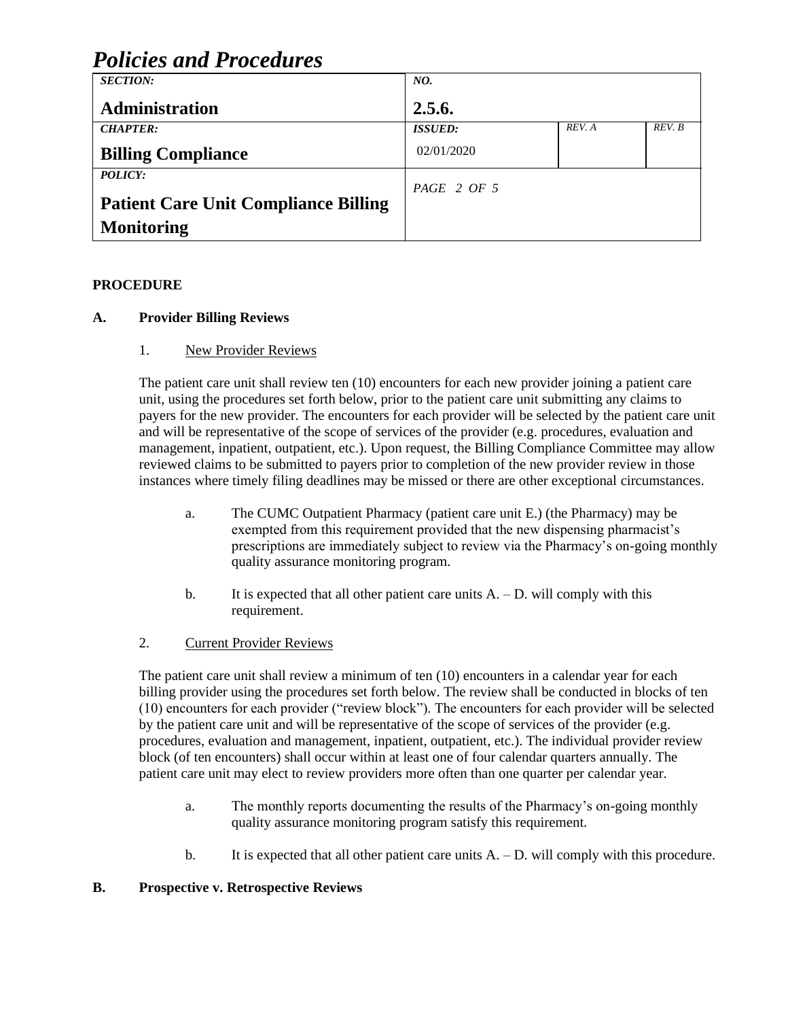| <i>Policies and Procedures</i>              |                |        |        |
|---------------------------------------------|----------------|--------|--------|
| <b>SECTION:</b>                             | NO.            |        |        |
| <b>Administration</b>                       | 2.5.6.         |        |        |
| <b>CHAPTER:</b>                             | <b>ISSUED:</b> | REV. A | REV. B |
| <b>Billing Compliance</b>                   | 02/01/2020     |        |        |
| POLICY:                                     | $PAGE$ 2 OF 5  |        |        |
| <b>Patient Care Unit Compliance Billing</b> |                |        |        |
| <b>Monitoring</b>                           |                |        |        |

# *Policies and Procedures*

### **PROCEDURE**

### **A. Provider Billing Reviews**

### 1. New Provider Reviews

The patient care unit shall review ten (10) encounters for each new provider joining a patient care unit, using the procedures set forth below, prior to the patient care unit submitting any claims to payers for the new provider. The encounters for each provider will be selected by the patient care unit and will be representative of the scope of services of the provider (e.g. procedures, evaluation and management, inpatient, outpatient, etc.). Upon request, the Billing Compliance Committee may allow reviewed claims to be submitted to payers prior to completion of the new provider review in those instances where timely filing deadlines may be missed or there are other exceptional circumstances.

- a. The CUMC Outpatient Pharmacy (patient care unit E.) (the Pharmacy) may be exempted from this requirement provided that the new dispensing pharmacist's prescriptions are immediately subject to review via the Pharmacy's on-going monthly quality assurance monitoring program.
- b. It is expected that all other patient care units  $A D$ , will comply with this requirement.

#### 2. Current Provider Reviews

The patient care unit shall review a minimum of ten (10) encounters in a calendar year for each billing provider using the procedures set forth below. The review shall be conducted in blocks of ten (10) encounters for each provider ("review block"). The encounters for each provider will be selected by the patient care unit and will be representative of the scope of services of the provider (e.g. procedures, evaluation and management, inpatient, outpatient, etc.). The individual provider review block (of ten encounters) shall occur within at least one of four calendar quarters annually. The patient care unit may elect to review providers more often than one quarter per calendar year.

- a. The monthly reports documenting the results of the Pharmacy's on-going monthly quality assurance monitoring program satisfy this requirement.
- b. It is expected that all other patient care units  $A D$ , will comply with this procedure.

#### **B. Prospective v. Retrospective Reviews**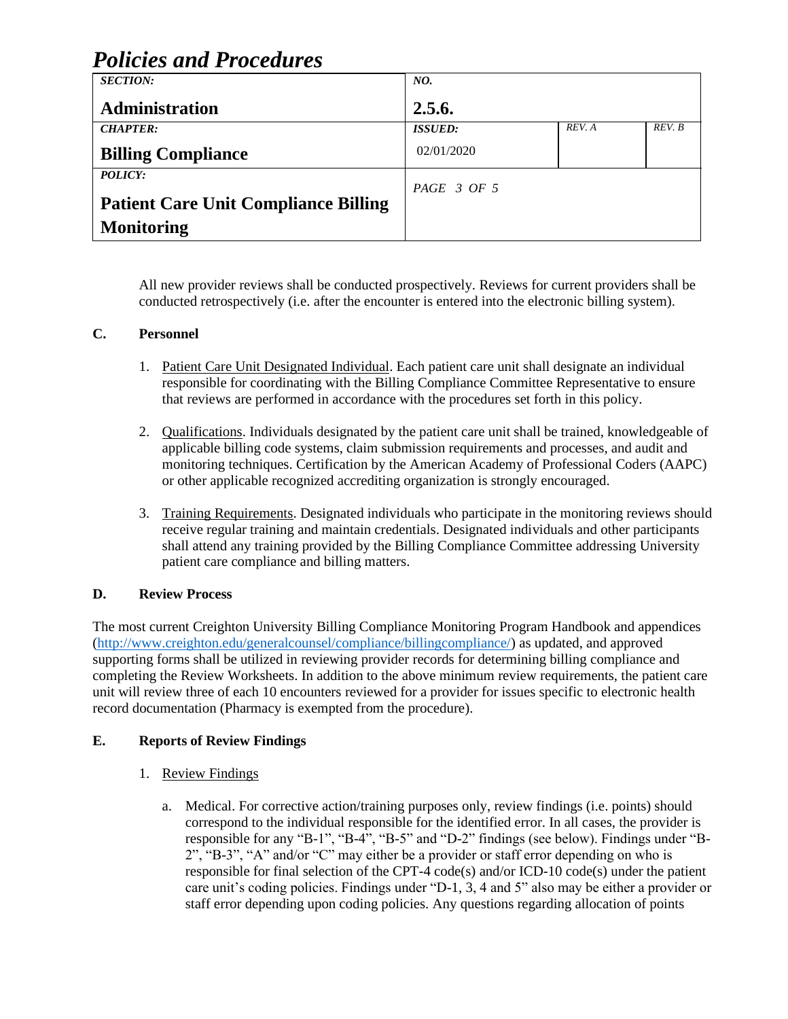| <b>Policies and Procedures</b>              |                           |        |        |  |
|---------------------------------------------|---------------------------|--------|--------|--|
| <b>SECTION:</b>                             | NO.                       |        |        |  |
| <b>Administration</b>                       | 2.5.6.                    |        |        |  |
| <b>CHAPTER:</b>                             | <b>ISSUED:</b>            | REV. A | REV. B |  |
| <b>Billing Compliance</b>                   | 02/01/2020                |        |        |  |
| <b>POLICY:</b>                              | $PAGE \quad 3 \; OF \; 5$ |        |        |  |
| <b>Patient Care Unit Compliance Billing</b> |                           |        |        |  |
| <b>Monitoring</b>                           |                           |        |        |  |

All new provider reviews shall be conducted prospectively. Reviews for current providers shall be conducted retrospectively (i.e. after the encounter is entered into the electronic billing system).

#### **C. Personnel**

- 1. Patient Care Unit Designated Individual. Each patient care unit shall designate an individual responsible for coordinating with the Billing Compliance Committee Representative to ensure that reviews are performed in accordance with the procedures set forth in this policy.
- 2. Qualifications. Individuals designated by the patient care unit shall be trained, knowledgeable of applicable billing code systems, claim submission requirements and processes, and audit and monitoring techniques. Certification by the American Academy of Professional Coders (AAPC) or other applicable recognized accrediting organization is strongly encouraged.
- 3. Training Requirements. Designated individuals who participate in the monitoring reviews should receive regular training and maintain credentials. Designated individuals and other participants shall attend any training provided by the Billing Compliance Committee addressing University patient care compliance and billing matters.

#### **D. Review Process**

The most current Creighton University Billing Compliance Monitoring Program Handbook and appendices [\(http://www.creighton.edu/generalcounsel/compliance/billingcompliance/\)](http://www.creighton.edu/generalcounsel/compliance/billingcompliance/) as updated, and approved supporting forms shall be utilized in reviewing provider records for determining billing compliance and completing the Review Worksheets. In addition to the above minimum review requirements, the patient care unit will review three of each 10 encounters reviewed for a provider for issues specific to electronic health record documentation (Pharmacy is exempted from the procedure).

#### **E. Reports of Review Findings**

- 1. Review Findings
	- a. Medical. For corrective action/training purposes only, review findings (i.e. points) should correspond to the individual responsible for the identified error. In all cases, the provider is responsible for any "B-1", "B-4", "B-5" and "D-2" findings (see below). Findings under "B-2", "B-3", "A" and/or "C" may either be a provider or staff error depending on who is responsible for final selection of the CPT-4 code(s) and/or ICD-10 code(s) under the patient care unit's coding policies. Findings under "D-1, 3, 4 and 5" also may be either a provider or staff error depending upon coding policies. Any questions regarding allocation of points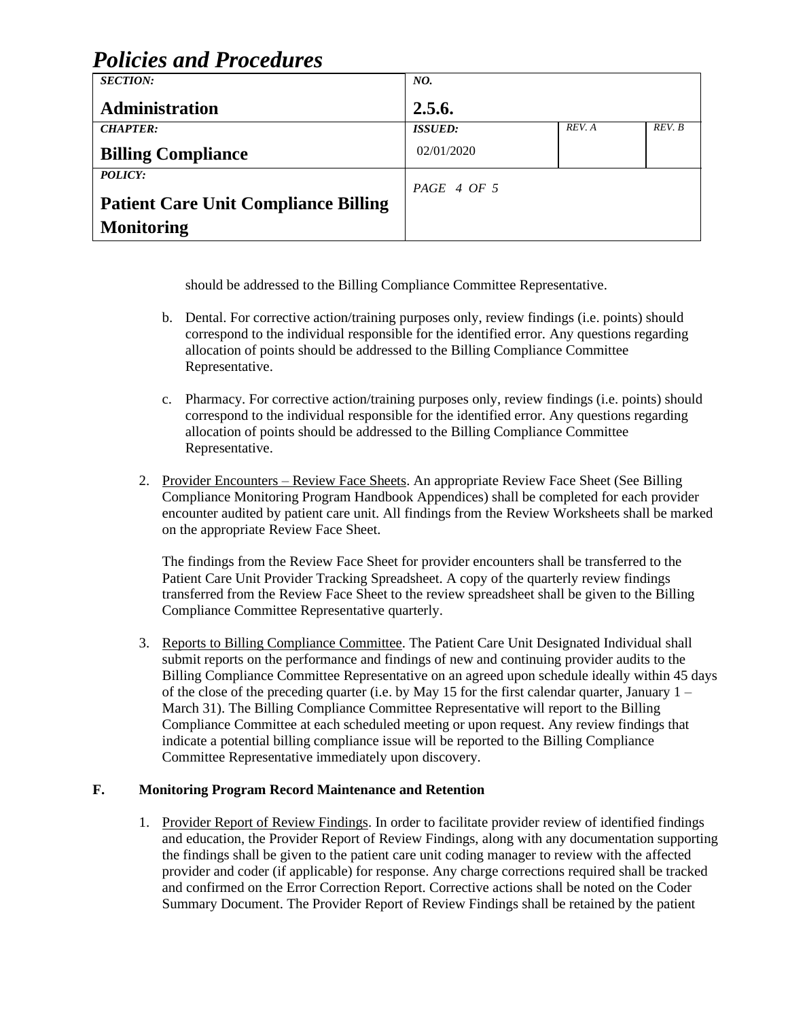| <i>Policies and Procedures</i>              |                        |        |        |
|---------------------------------------------|------------------------|--------|--------|
| <b>SECTION:</b>                             | NO.                    |        |        |
| Administration                              | 2.5.6.                 |        |        |
| <b>CHAPTER:</b>                             | <b>ISSUED:</b>         | REV. A | REV. B |
| <b>Billing Compliance</b>                   | 02/01/2020             |        |        |
| POLICY:                                     | $PAGE \, 4 \, OF \, 5$ |        |        |
| <b>Patient Care Unit Compliance Billing</b> |                        |        |        |
| <b>Monitoring</b>                           |                        |        |        |

*Policies and Procedures*

should be addressed to the Billing Compliance Committee Representative.

- b. Dental. For corrective action/training purposes only, review findings (i.e. points) should correspond to the individual responsible for the identified error. Any questions regarding allocation of points should be addressed to the Billing Compliance Committee Representative.
- c. Pharmacy. For corrective action/training purposes only, review findings (i.e. points) should correspond to the individual responsible for the identified error. Any questions regarding allocation of points should be addressed to the Billing Compliance Committee Representative.
- 2. Provider Encounters Review Face Sheets. An appropriate Review Face Sheet (See Billing Compliance Monitoring Program Handbook Appendices) shall be completed for each provider encounter audited by patient care unit. All findings from the Review Worksheets shall be marked on the appropriate Review Face Sheet.

The findings from the Review Face Sheet for provider encounters shall be transferred to the Patient Care Unit Provider Tracking Spreadsheet. A copy of the quarterly review findings transferred from the Review Face Sheet to the review spreadsheet shall be given to the Billing Compliance Committee Representative quarterly.

3. Reports to Billing Compliance Committee. The Patient Care Unit Designated Individual shall submit reports on the performance and findings of new and continuing provider audits to the Billing Compliance Committee Representative on an agreed upon schedule ideally within 45 days of the close of the preceding quarter (i.e. by May 15 for the first calendar quarter, January  $1 -$ March 31). The Billing Compliance Committee Representative will report to the Billing Compliance Committee at each scheduled meeting or upon request. Any review findings that indicate a potential billing compliance issue will be reported to the Billing Compliance Committee Representative immediately upon discovery.

## **F. Monitoring Program Record Maintenance and Retention**

1. Provider Report of Review Findings. In order to facilitate provider review of identified findings and education, the Provider Report of Review Findings, along with any documentation supporting the findings shall be given to the patient care unit coding manager to review with the affected provider and coder (if applicable) for response. Any charge corrections required shall be tracked and confirmed on the Error Correction Report. Corrective actions shall be noted on the Coder Summary Document. The Provider Report of Review Findings shall be retained by the patient